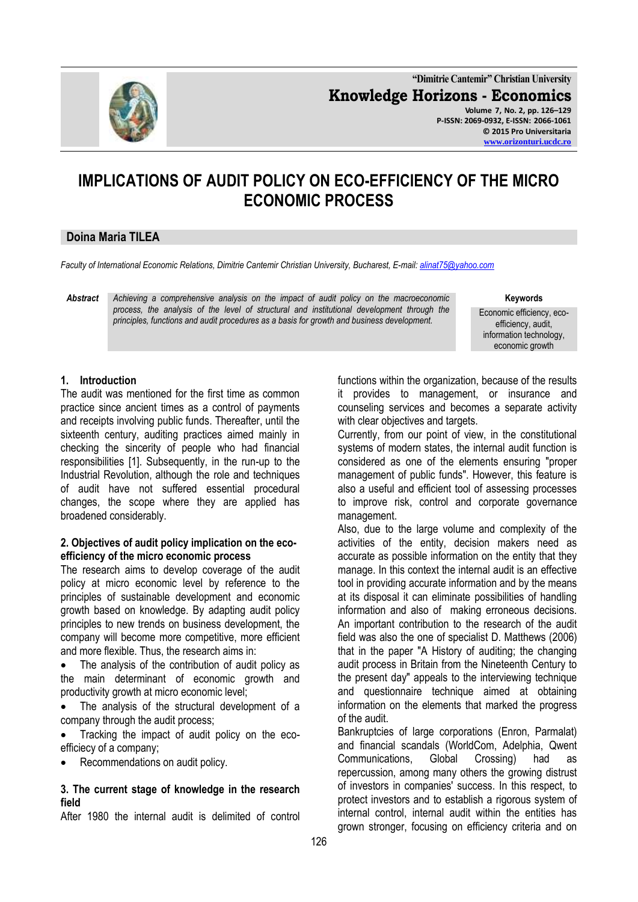

**"Dimitrie Cantemir" Christian University Knowledge Horizons - Economics Volume 7, No. 2, pp. 126–129 P-ISSN: 2069-0932, E-ISSN: 2066-1061 © 2015 Pro Universitaria [www.orizonturi.ucdc.ro](http://www.orizonturi.ucdc.ro/)**

# **IMPLICATIONS OF AUDIT POLICY ON ECO-EFFICIENCY OF THE MICRO ECONOMIC PROCESS**

### **Doina Maria TILEA**

*Faculty of International Economic Relations, Dimitrie Cantemir Christian University, Bucharest, E-mail: [alinat75@yahoo.com](mailto:alinat75@yahoo.com)*

*Abstract Achieving a comprehensive analysis on the impact of audit policy on the macroeconomic process, the analysis of the level of structural and institutional development through the principles, functions and audit procedures as a basis for growth and business development.*

#### **Keywords**

Economic efficiency, ecoefficiency, audit, information technology, economic growth

# **1. Introduction**

The audit was mentioned for the first time as common practice since ancient times as a control of payments and receipts involving public funds. Thereafter, until the sixteenth century, auditing practices aimed mainly in checking the sincerity of people who had financial responsibilities [1]. Subsequently, in the run-up to the Industrial Revolution, although the role and techniques of audit have not suffered essential procedural changes, the scope where they are applied has broadened considerably.

#### **2. Objectives of audit policy implication on the ecoefficiency of the micro economic process**

The research aims to develop coverage of the audit policy at micro economic level by reference to the principles of sustainable development and economic growth based on knowledge. By adapting audit policy principles to new trends on business development, the company will become more competitive, more efficient and more flexible. Thus, the research aims in:

 The analysis of the contribution of audit policy as the main determinant of economic growth and productivity growth at micro economic level;

 The analysis of the structural development of a company through the audit process;

 Tracking the impact of audit policy on the ecoefficiecy of a company;

Recommendations on audit policy.

#### **3. The current stage of knowledge in the research field**

After 1980 the internal audit is delimited of control

functions within the organization, because of the results it provides to management, or insurance and counseling services and becomes a separate activity with clear objectives and targets.

Currently, from our point of view, in the constitutional systems of modern states, the internal audit function is considered as one of the elements ensuring "proper management of public funds". However, this feature is also a useful and efficient tool of assessing processes to improve risk, control and corporate governance management.

Also, due to the large volume and complexity of the activities of the entity, decision makers need as accurate as possible information on the entity that they manage. In this context the internal audit is an effective tool in providing accurate information and by the means at its disposal it can eliminate possibilities of handling information and also of making erroneous decisions. An important contribution to the research of the audit field was also the one of specialist D. Matthews (2006) that in the paper "A History of auditing; the changing audit process in Britain from the Nineteenth Century to the present day" appeals to the interviewing technique and questionnaire technique aimed at obtaining information on the elements that marked the progress of the audit.

Bankruptcies of large corporations (Enron, Parmalat) and financial scandals (WorldCom, Adelphia, Qwent Communications, Global Crossing) had as repercussion, among many others the growing distrust of investors in companies' success. In this respect, to protect investors and to establish a rigorous system of internal control, internal audit within the entities has grown stronger, focusing on efficiency criteria and on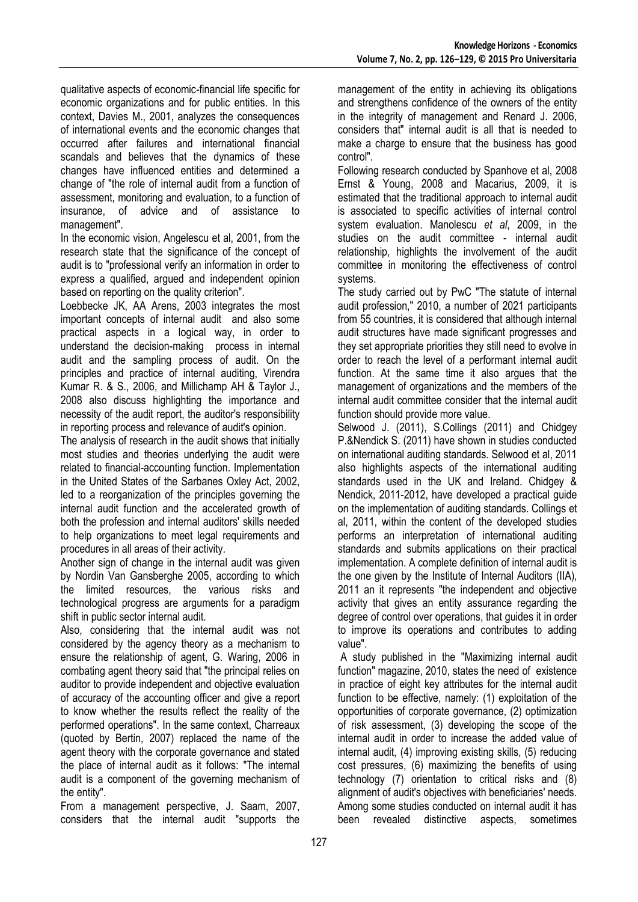qualitative aspects of economic-financial life specific for economic organizations and for public entities. In this context, Davies M., 2001, analyzes the consequences of international events and the economic changes that occurred after failures and international financial scandals and believes that the dynamics of these changes have influenced entities and determined a change of "the role of internal audit from a function of assessment, monitoring and evaluation, to a function of insurance, of advice and of assistance to management".

In the economic vision, Angelescu et al, 2001, from the research state that the significance of the concept of audit is to "professional verify an information in order to express a qualified, argued and independent opinion based on reporting on the quality criterion".

Loebbecke JK, AA Arens, 2003 integrates the most important concepts of internal audit and also some practical aspects in a logical way, in order to understand the decision-making process in internal audit and the sampling process of audit. On the principles and practice of internal auditing, Virendra Kumar R. & S., 2006, and Millichamp AH & Taylor J., 2008 also discuss highlighting the importance and necessity of the audit report, the auditor's responsibility in reporting process and relevance of audit's opinion.

The analysis of research in the audit shows that initially most studies and theories underlying the audit were related to financial-accounting function. Implementation in the United States of the Sarbanes Oxley Act, 2002, led to a reorganization of the principles governing the internal audit function and the accelerated growth of both the profession and internal auditors' skills needed to help organizations to meet legal requirements and procedures in all areas of their activity.

Another sign of change in the internal audit was given by Nordin Van Gansberghe 2005, according to which the limited resources, the various risks and technological progress are arguments for a paradigm shift in public sector internal audit.

Also, considering that the internal audit was not considered by the agency theory as a mechanism to ensure the relationship of agent, G. Waring, 2006 in combating agent theory said that "the principal relies on auditor to provide independent and objective evaluation of accuracy of the accounting officer and give a report to know whether the results reflect the reality of the performed operations". In the same context, Charreaux (quoted by Bertin, 2007) replaced the name of the agent theory with the corporate governance and stated the place of internal audit as it follows: "The internal audit is a component of the governing mechanism of the entity".

From a management perspective, J. Saam, 2007, considers that the internal audit "supports the management of the entity in achieving its obligations and strengthens confidence of the owners of the entity in the integrity of management and Renard J. 2006, considers that" internal audit is all that is needed to make a charge to ensure that the business has good control".

Following research conducted by Spanhove et al, 2008 Ernst & Young, 2008 and Macarius, 2009, it is estimated that the traditional approach to internal audit is associated to specific activities of internal control system evaluation. Manolescu *et al*, 2009, in the studies on the audit committee - internal audit relationship, highlights the involvement of the audit committee in monitoring the effectiveness of control systems.

The study carried out by PwC "The statute of internal audit profession," 2010, a number of 2021 participants from 55 countries, it is considered that although internal audit structures have made significant progresses and they set appropriate priorities they still need to evolve in order to reach the level of a performant internal audit function. At the same time it also argues that the management of organizations and the members of the internal audit committee consider that the internal audit function should provide more value.

Selwood J. (2011), S.Collings (2011) and Chidgey P.&Nendick S. (2011) have shown in studies conducted on international auditing standards. Selwood et al, 2011 also highlights aspects of the international auditing standards used in the UK and Ireland. Chidgey & Nendick, 2011-2012, have developed a practical guide on the implementation of auditing standards. Collings et al, 2011, within the content of the developed studies performs an interpretation of international auditing standards and submits applications on their practical implementation. A complete definition of internal audit is the one given by the Institute of Internal Auditors (IIA), 2011 an it represents "the independent and objective activity that gives an entity assurance regarding the degree of control over operations, that guides it in order to improve its operations and contributes to adding value".

A study published in the "Maximizing internal audit function" magazine, 2010, states the need of existence in practice of eight key attributes for the internal audit function to be effective, namely: (1) exploitation of the opportunities of corporate governance, (2) optimization of risk assessment, (3) developing the scope of the internal audit in order to increase the added value of internal audit, (4) improving existing skills, (5) reducing cost pressures, (6) maximizing the benefits of using technology (7) orientation to critical risks and (8) alignment of audit's objectives with beneficiaries' needs. Among some studies conducted on internal audit it has been revealed distinctive aspects, sometimes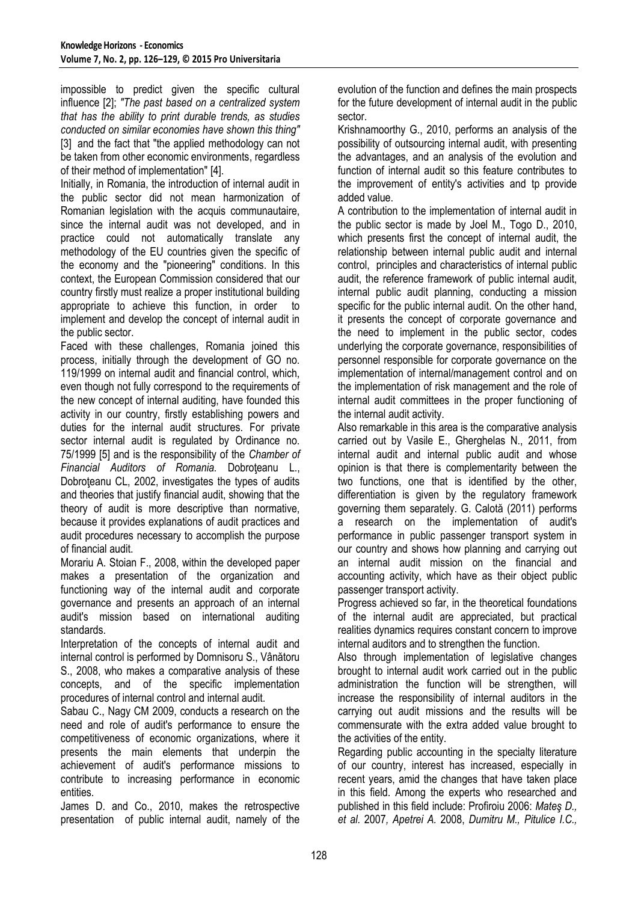impossible to predict given the specific cultural influence [2]; *"The past based on a centralized system that has the ability to print durable trends, as studies conducted on similar economies have shown this thing"* [3] and the fact that "the applied methodology can not be taken from other economic environments, regardless of their method of implementation" [4].

Initially, in Romania, the introduction of internal audit in the public sector did not mean harmonization of Romanian legislation with the acquis communautaire, since the internal audit was not developed, and in practice could not automatically translate any methodology of the EU countries given the specific of the economy and the "pioneering" conditions. In this context, the European Commission considered that our country firstly must realize a proper institutional building appropriate to achieve this function, in order to implement and develop the concept of internal audit in the public sector.

Faced with these challenges, Romania joined this process, initially through the development of GO no. 119/1999 on internal audit and financial control, which, even though not fully correspond to the requirements of the new concept of internal auditing, have founded this activity in our country, firstly establishing powers and duties for the internal audit structures. For private sector internal audit is regulated by Ordinance no. 75/1999 [5] and is the responsibility of the *Chamber of Financial Auditors of Romania.* Dobroţeanu L., Dobroteanu CL, 2002, investigates the types of audits and theories that justify financial audit, showing that the theory of audit is more descriptive than normative, because it provides explanations of audit practices and audit procedures necessary to accomplish the purpose of financial audit.

Morariu A. Stoian F., 2008, within the developed paper makes a presentation of the organization and functioning way of the internal audit and corporate governance and presents an approach of an internal audit's mission based on international auditing standards.

Interpretation of the concepts of internal audit and internal control is performed by Domnisoru S., Vânătoru S., 2008, who makes a comparative analysis of these concepts, and of the specific implementation procedures of internal control and internal audit.

Sabau C., Nagy CM 2009, conducts a research on the need and role of audit's performance to ensure the competitiveness of economic organizations, where it presents the main elements that underpin the achievement of audit's performance missions to contribute to increasing performance in economic entities.

James D. and Co., 2010, makes the retrospective presentation of public internal audit, namely of the evolution of the function and defines the main prospects for the future development of internal audit in the public sector.

Krishnamoorthy G., 2010, performs an analysis of the possibility of outsourcing internal audit, with presenting the advantages, and an analysis of the evolution and function of internal audit so this feature contributes to the improvement of entity's activities and to provide added value.

A contribution to the implementation of internal audit in the public sector is made by Joel M., Togo D., 2010, which presents first the concept of internal audit, the relationship between internal public audit and internal control, principles and characteristics of internal public audit, the reference framework of public internal audit, internal public audit planning, conducting a mission specific for the public internal audit. On the other hand, it presents the concept of corporate governance and the need to implement in the public sector, codes underlying the corporate governance, responsibilities of personnel responsible for corporate governance on the implementation of internal/management control and on the implementation of risk management and the role of internal audit committees in the proper functioning of the internal audit activity.

Also remarkable in this area is the comparative analysis carried out by Vasile E., Gherghelas N., 2011, from internal audit and internal public audit and whose opinion is that there is complementarity between the two functions, one that is identified by the other, differentiation is given by the regulatory framework governing them separately. G. Calotă (2011) performs a research on the implementation of audit's performance in public passenger transport system in our country and shows how planning and carrying out an internal audit mission on the financial and accounting activity, which have as their object public passenger transport activity.

Progress achieved so far, in the theoretical foundations of the internal audit are appreciated, but practical realities dynamics requires constant concern to improve internal auditors and to strengthen the function.

Also through implementation of legislative changes brought to internal audit work carried out in the public administration the function will be strengthen, will increase the responsibility of internal auditors in the carrying out audit missions and the results will be commensurate with the extra added value brought to the activities of the entity.

Regarding public accounting in the specialty literature of our country, interest has increased, especially in recent years, amid the changes that have taken place in this field. Among the experts who researched and published in this field include: Profiroiu 2006: *Mateş D., et al.* 2007*, Apetrei A.* 2008, *Dumitru M., Pitulice I.C.,*